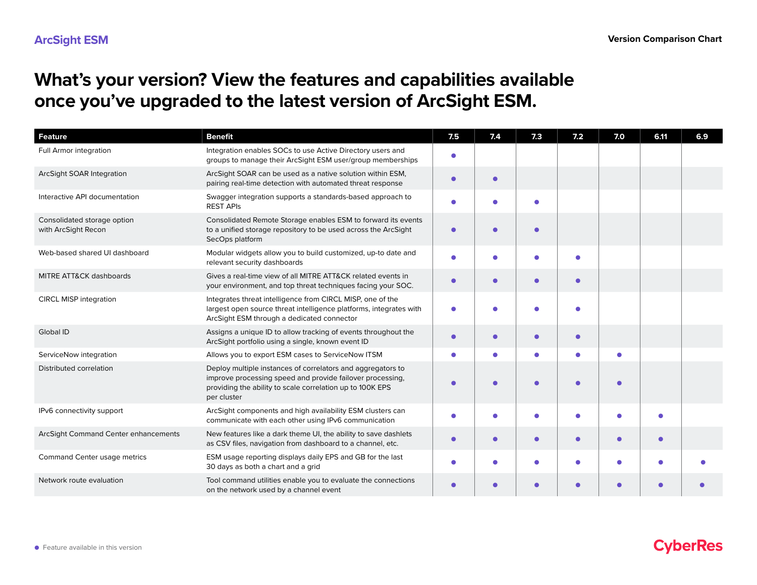## **What's your version? View the features and capabilities available once you've upgraded to the latest version of ArcSight ESM.**

| <b>Feature</b>                                     | <b>Benefit</b>                                                                                                                                                                                       | 7.5        | 7.4       | 7.3        | 7.2       | 7.0       | 6.11      | 6.9 |
|----------------------------------------------------|------------------------------------------------------------------------------------------------------------------------------------------------------------------------------------------------------|------------|-----------|------------|-----------|-----------|-----------|-----|
| Full Armor integration                             | Integration enables SOCs to use Active Directory users and<br>groups to manage their ArcSight ESM user/group memberships                                                                             |            |           |            |           |           |           |     |
| ArcSight SOAR Integration                          | ArcSight SOAR can be used as a native solution within ESM,<br>pairing real-time detection with automated threat response                                                                             | ٠          |           |            |           |           |           |     |
| Interactive API documentation                      | Swagger integration supports a standards-based approach to<br><b>REST APIS</b>                                                                                                                       | $\bullet$  |           | ٠          |           |           |           |     |
| Consolidated storage option<br>with ArcSight Recon | Consolidated Remote Storage enables ESM to forward its events<br>to a unified storage repository to be used across the ArcSight<br>SecOps platform                                                   | $\bullet$  |           | $\epsilon$ |           |           |           |     |
| Web-based shared UI dashboard                      | Modular widgets allow you to build customized, up-to date and<br>relevant security dashboards                                                                                                        | ٠          |           |            |           |           |           |     |
| MITRE ATT&CK dashboards                            | Gives a real-time view of all MITRE ATT&CK related events in<br>your environment, and top threat techniques facing your SOC.                                                                         | $\bullet$  |           |            |           |           |           |     |
| <b>CIRCL MISP integration</b>                      | Integrates threat intelligence from CIRCL MISP, one of the<br>largest open source threat intelligence platforms, integrates with<br>ArcSight ESM through a dedicated connector                       | ٠          |           |            |           |           |           |     |
| Global ID                                          | Assigns a unique ID to allow tracking of events throughout the<br>ArcSight portfolio using a single, known event ID                                                                                  | $\bullet$  | $\bullet$ | $\bullet$  | $\bullet$ |           |           |     |
| ServiceNow integration                             | Allows you to export ESM cases to ServiceNow ITSM                                                                                                                                                    | ۰          |           | G          |           | ٠         |           |     |
| Distributed correlation                            | Deploy multiple instances of correlators and aggregators to<br>improve processing speed and provide failover processing,<br>providing the ability to scale correlation up to 100K EPS<br>per cluster |            |           |            |           |           |           |     |
| IPv6 connectivity support                          | ArcSight components and high availability ESM clusters can<br>communicate with each other using IPv6 communication                                                                                   | ٠          |           |            |           | ٠         |           |     |
| ArcSight Command Center enhancements               | New features like a dark theme UI, the ability to save dashlets<br>as CSV files, navigation from dashboard to a channel, etc.                                                                        | $\bullet$  | $\bullet$ | $\bullet$  | $\bullet$ | $\bullet$ | $\bullet$ |     |
| Command Center usage metrics                       | ESM usage reporting displays daily EPS and GB for the last<br>30 days as both a chart and a grid                                                                                                     | ٠          |           |            |           |           |           |     |
| Network route evaluation                           | Tool command utilities enable you to evaluate the connections<br>on the network used by a channel event                                                                                              | $\epsilon$ |           |            |           | ٠         |           |     |

## **CyberRes**